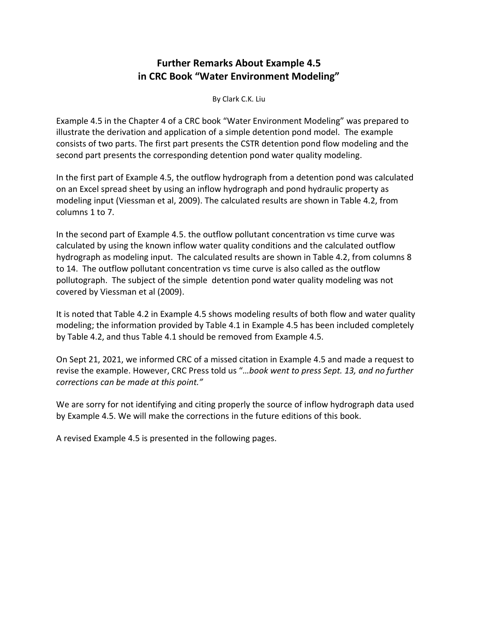# **Further Remarks About Example 4.5 in CRC Book "Water Environment Modeling"**

By Clark C.K. Liu

Example 4.5 in the Chapter 4 of a CRC book "Water Environment Modeling" was prepared to illustrate the derivation and application of a simple detention pond model. The example consists of two parts. The first part presents the CSTR detention pond flow modeling and the second part presents the corresponding detention pond water quality modeling.

In the first part of Example 4.5, the outflow hydrograph from a detention pond was calculated on an Excel spread sheet by using an inflow hydrograph and pond hydraulic property as modeling input (Viessman et al, 2009). The calculated results are shown in Table 4.2, from columns 1 to 7.

In the second part of Example 4.5. the outflow pollutant concentration vs time curve was calculated by using the known inflow water quality conditions and the calculated outflow hydrograph as modeling input. The calculated results are shown in Table 4.2, from columns 8 to 14. The outflow pollutant concentration vs time curve is also called as the outflow pollutograph. The subject of the simple detention pond water quality modeling was not covered by Viessman et al (2009).

It is noted that Table 4.2 in Example 4.5 shows modeling results of both flow and water quality modeling; the information provided by Table 4.1 in Example 4.5 has been included completely by Table 4.2, and thus Table 4.1 should be removed from Example 4.5.

On Sept 21, 2021, we informed CRC of a missed citation in Example 4.5 and made a request to revise the example. However, CRC Press told us "*…book went to press Sept. 13, and no further corrections can be made at this point."*

We are sorry for not identifying and citing properly the source of inflow hydrograph data used by Example 4.5. We will make the corrections in the future editions of this book.

A revised Example 4.5 is presented in the following pages.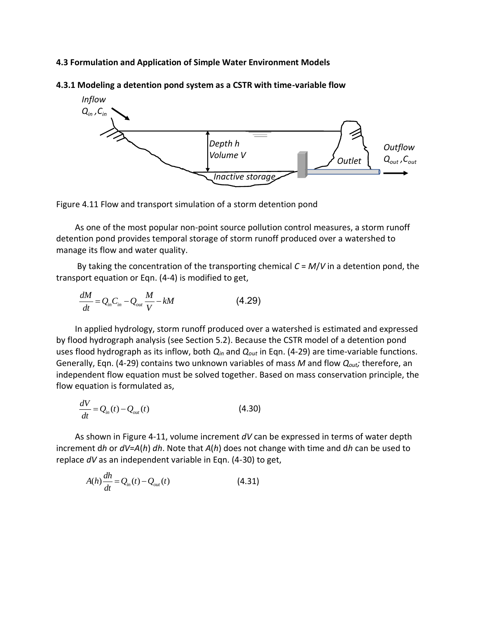#### **4.3 Formulation and Application of Simple Water Environment Models**



**4.3.1 Modeling a detention pond system as a CSTR with time-variable flow**



As one of the most popular non-point source pollution control measures, a storm runoff detention pond provides temporal storage of storm runoff produced over a watershed to manage its flow and water quality.

By taking the concentration of the transporting chemical *C* = *M*/*V* in a detention pond, the transport equation or Eqn. (4-4) is modified to get,

$$
\frac{dM}{dt} = Q_{in}C_{in} - Q_{out}\frac{M}{V} - kM\tag{4.29}
$$

In applied hydrology, storm runoff produced over a watershed is estimated and expressed by flood hydrograph analysis (see Section 5.2). Because the CSTR model of a detention pond uses flood hydrograph as its inflow, both *Qin* and *Qout* in Eqn. (4-29) are time-variable functions. Generally, Eqn. (4-29) contains two unknown variables of mass *M* and flow *Qout;* therefore, an independent flow equation must be solved together. Based on mass conservation principle, the flow equation is formulated as,

$$
\frac{dV}{dt} = Q_{in}(t) - Q_{out}(t) \tag{4.30}
$$

As shown in Figure 4-11, volume increment *dV* can be expressed in terms of water depth increment d*h* or *dV*=*A*(*h*) *dh*. Note that *A*(*h*) does not change with time and d*h* can be used to replace *dV* as an independent variable in Eqn. (4-30) to get,

$$
A(h)\frac{dh}{dt} = Q_{in}(t) - Q_{out}(t)
$$
\n(4.31)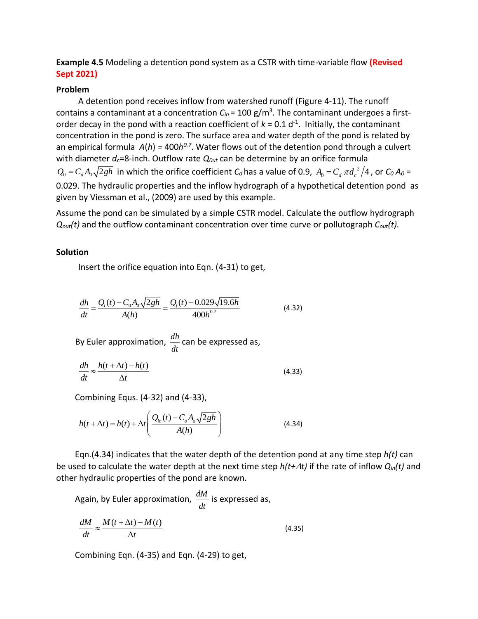### **Example 4.5** Modeling a detention pond system as a CSTR with time-variable flow **(Revised Sept 2021)**

#### **Problem**

A detention pond receives inflow from watershed runoff (Figure 4-11). The runoff contains a contaminant at a concentration *Cin* = 100 g/m<sup>3</sup> . The contaminant undergoes a firstorder decay in the pond with a reaction coefficient of  $k = 0.1 d^{-1}$ . Initially, the contaminant concentration in the pond is zero. The surface area and water depth of the pond is related by an empirical formula  $A(h)$  = 400 $h^{0.7}$ . Water flows out of the detention pond through a culvert with diameter  $d_c$ =8-inch. Outflow rate  $Q_{out}$  can be determine by an orifice formula in which the orifice coefficient  $C_d$  has a value of 0.9,  $A_0 = C_d \pi d_c^2$  $Q_0 = C_d A_0 \sqrt{2gh}$  in which the orifice coefficient  $C_d$  has a value of 0.9,  $A_0 = C_d \pi d_c^2/4$  , or  $C_0 A_0 =$ 0.029. The hydraulic properties and the inflow hydrograph of a hypothetical detention pond as given by Viessman et al., (2009) are used by this example.

Assume the pond can be simulated by a simple CSTR model. Calculate the outflow hydrograph *Qout(t)* and the outflow contaminant concentration over time curve or pollutograph *Cout(t).*

#### **Solution**

Insert the orifice equation into Eqn. (4-31) to get,

$$
\frac{dh}{dt} = \frac{Q_i(t) - C_0 A_0 \sqrt{2gh}}{A(h)} = \frac{Q_i(t) - 0.029 \sqrt{19.6h}}{400h^{0.7}}
$$
(4.32)

By Euler approximation,  $\frac{dh}{dr}$  can be expressed as, *dt*

$$
\frac{dh}{dt} \approx \frac{h(t + \Delta t) - h(t)}{\Delta t}
$$
\n(4.33)

Combining Equs. (4-32) and (4-33),

$$
h(t + \Delta t) = h(t) + \Delta t \left( \frac{Q_{in}(t) - C_o A_o \sqrt{2gh}}{A(h)} \right)
$$
(4.34)

Eqn.(4.34) indicates that the water depth of the detention pond at any time step *h(t)* can be used to calculate the water depth at the next time step  $h(t+\Delta t)$  if the rate of inflow  $Q_{in}(t)$  and other hydraulic properties of the pond are known.

Again, by Euler approximation, 
$$
\frac{dM}{dt}
$$
 is expressed as,  
\n
$$
\frac{dM}{dt} \approx \frac{M(t + \Delta t) - M(t)}{\Delta t}
$$
\n(4.35)

Combining Eqn. (4-35) and Eqn. (4-29) to get,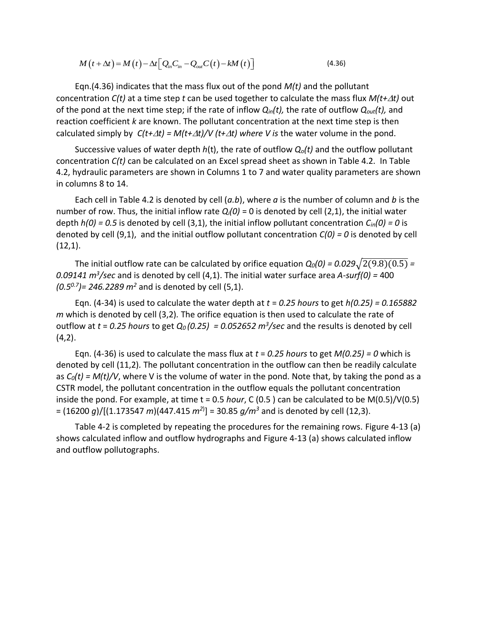$$
M(t + \Delta t) = M(t) - \Delta t \left[ Q_{in} C_{in} - Q_{out} C(t) - k M(t) \right]
$$
\n(4.36)

Eqn.(4.36) indicates that the mass flux out of the pond *M(t)* and the pollutant concentration *C(t)* at a time step *t* can be used together to calculate the mass flux *M(t+t)* out of the pond at the next time step; if the rate of inflow *Qin(t),* the rate of outflow *Qout(t),* and reaction coefficient *k* are known. The pollutant concentration at the next time step is then calculated simply by  $C(t+\Delta t) = M(t+\Delta t)/V(t+\Delta t)$  where V is the water volume in the pond.

Successive values of water depth *h*(t), the rate of outflow *Qo(t)* and the outflow pollutant concentration *C(t)* can be calculated on an Excel spread sheet as shown in Table 4.2. In Table 4.2, hydraulic parameters are shown in Columns 1 to 7 and water quality parameters are shown in columns 8 to 14.

Each cell in Table 4.2 is denoted by cell (*a.b*), where *a* is the number of column and *b* is the number of row. Thus, the initial inflow rate  $Q_i(0) = 0$  is denoted by cell (2,1), the initial water depth *h(0) = 0.5* is denoted by cell (3,1), the initial inflow pollutant concentration *Cin(0) = 0* is denoted by cell (9,1), and the initial outflow pollutant concentration *C(0) = 0* is denoted by cell  $(12,1)$ .

The initial outflow rate can be calculated by orifice equation  $Q_0(0) = 0.029\sqrt{2(9.8)(0.5)}$  = *0.09141 m<sup>3</sup> /sec* and is denoted by cell (4,1). The initial water surface area *A-surf(0) =* 400 *(0.50.7)= 246.2289 m<sup>2</sup>* and is denoted by cell (5,1).

Eqn. (4-34) is used to calculate the water depth at *t* = *0.25 hours* to get *h(0.25) = 0.165882 m* which is denoted by cell (3,2)*.* The orifice equation is then used to calculate the rate of outflow at  $t = 0.25$  hours to get  $Q_0(0.25) = 0.052652$   $m^3$ /sec and the results is denoted by cell  $(4,2)$ .

Eqn. (4-36) is used to calculate the mass flux at *t* = *0.25 hours* to get *M(0.25) = 0* which is denoted by cell (11,2)*.* The pollutant concentration in the outflow can then be readily calculate as *C0(t) = M(t)/V*, where V is the volume of water in the pond. Note that, by taking the pond as a CSTR model, the pollutant concentration in the outflow equals the pollutant concentration inside the pond. For example, at time t = 0.5 *hour*, C (0.5 ) can be calculated to be M(0.5)/V(0.5) = (16200 *g*)/[(1.173547 *m*)(447.415 *m<sup>2</sup>*) ] = 30.85 *g/m<sup>3</sup>* and is denoted by cell (12,3).

Table 4-2 is completed by repeating the procedures for the remaining rows. Figure 4-13 (a) shows calculated inflow and outflow hydrographs and Figure 4-13 (a) shows calculated inflow and outflow pollutographs.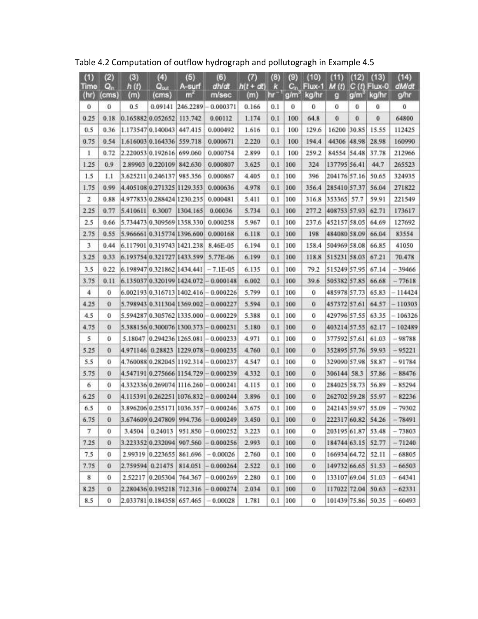| (1)           | (2)              | (3)             | (4)                        | (5)         | (6)                                        | (7)                | (8)      | (9)              | (10)                                        | (11)               |   | $(12)$ $(13)$          | (14)          |
|---------------|------------------|-----------------|----------------------------|-------------|--------------------------------------------|--------------------|----------|------------------|---------------------------------------------|--------------------|---|------------------------|---------------|
| Time<br>(hr)  | $Q_{n}$<br>(cms) | h(t)<br>(m)     | $Q_{out}$<br>(cms)         | A-surf<br>m | dhidt<br>m/sec                             | $h(t + dt)$<br>(m) | ĸ<br>m   | g/m <sup>3</sup> | $C_{in}$ Flux-1 M (t) C (t) Flux-0<br>kg/hr | 9                  |   | g/m <sup>-</sup> kg/hr | dM/dt<br>g/hr |
| 0             | 0                | 0.5             |                            |             | 0.09141 246.2289 - 0.000371                | 0.166              | 0.1      | 0                | $\bf{0}$                                    | o                  | 0 | 0                      | 0             |
| 0.25          | 0.18             |                 | 0.165882 0.052652 113.742  |             | 0.00112                                    | 1.174              | 0.1      | 100              | 64.8                                        | $\bf{0}$           | 0 | $\bf{0}$               | 64800         |
| 0.5           | 0.36             |                 | 1.173547 0.140043 447.415  |             | 0.000492                                   | 1.616              | 0.1      | 100              | 129.6                                       | 16200 30.85        |   | 15.55                  | 112425        |
| 0.75          | 0.54             |                 | 1.616003 0.164336 559.718  |             | 0.000671                                   | 2.220              | 0.1      | 100              | 194.4                                       | 44306 48.98        |   | 28.98                  | 160990        |
| Т.            | 0.72             |                 | 2.220053 0.192616 699.060  |             | 0.000754                                   | 2.899              | 0.1      | 100              | 259.2                                       | 84554 54.48        |   | 37.78                  | 212966        |
| 1.25          | 0.9              |                 | 2.89903 0.220109 842.630   |             | 0.000807                                   | 3.625              | 0.1      | 100              | 324                                         | 137795 56.41       |   | 44.7                   | 265523        |
| 1.5           | 1.1              |                 | 3.625211 0.246137 985.356  |             | 0.000867                                   | 4.405              | 0.1      | 100              | 396                                         | 204176 57.16       |   | 50.65                  | 324935        |
| 1.75          | 0.99             |                 |                            |             | 4.405108 0.271325 1129.353 0.000636        | 4.978              | 0.1      | 100              |                                             | 356.4 285410 57.37 |   | 56.04                  | 271822        |
| 2.            | 0.88             |                 | 4.977833 0.288424 1230.235 |             | 0.000481                                   | 5.411              | 0.1      | 100              | 316.8                                       | 353365 57.7        |   | 59.91                  | 221549        |
| 2.25          | 0.77             | 5.410611 0.3007 |                            | 1304.165    | 0.00036                                    | 5.734              | 0.1      | 100              |                                             | 277.2 408753 57.93 |   | 62.71                  | 173617        |
| 2.5           | 0.66             |                 |                            |             | 5.734473 0.309569 1358.330 0.000258        | 5.967              | 0.1      | 100              | 237.6                                       | 452157 58.05       |   | 64.69                  | 127692        |
| 2.75          | 0.55             |                 |                            |             | 5.966661 0.315774 1396.600 0.000168        | 6.118              | 0.1      | 100              | 198                                         | 484080 58.09       |   | 66.04                  | 83554         |
| 3.            | 0.44             |                 |                            |             | 6.11790110.31974311421.238 8.46E-05        | 6.194              | 0.1      | 100              | 158.4                                       | 504969 58.08       |   | 66.85                  | 41050         |
| 3.25          | 0.33             |                 |                            |             | 6.193754 0.321727 1433.599 5.77E-06        | 6.199              | 0.1      | 100              | 118.8                                       | 515231 58.03       |   | 67.21                  | 70.478        |
| 3.5           | 0.22             |                 |                            |             | 6.198947 0.321862 1434.441 - 7.1E-05       | 6.135              | 0.1      | 100              | 79.2                                        | 515249 57.95       |   | 67.14                  | $-39466$      |
| 3.75          | 0.11             |                 |                            |             | 6.135037(0.320199)1424.072 - 0.000148      | 6.002              | 0.1      | 100              | 39.6                                        | 505382 57.85       |   | 66.68                  | $-77618$      |
| 4             | 0                |                 |                            |             | 6.002193 0.316713 1402.416 -0.000226       | 5.799              | 0.1      | 100              | Ū                                           | 485978 57.73       |   | 65.83                  | $-114424$     |
| 4.25          | 0                |                 |                            |             | 5.798943 0.311304 1369.002 - 0.000227      | 5.594              | 0.1      | 100              | o                                           | 457372 57.61       |   | 64.57                  | $-110303$     |
| 4.5           | 0                |                 |                            |             | 5.594287 0.305762 1335.000 - 0.000229      | 5.388              | 0.1      | 100              | 0                                           | 429796 57.55       |   | 63.35                  | $-106326$     |
| 4.75          | 0                |                 |                            |             | 5.388156 0.300076 1300.373 - 0.000231      | 5.180              | 0.1      | 100              | 0                                           | 403214 57.55       |   | 62.17                  | $-102489$     |
| 5             | 0                |                 |                            |             | 5.18047 0.294236 1265.081 - 0.000233       | 4.971              | 0.1      | 100              | 0                                           | 377592 57.61       |   | 61.03                  | $-98788$      |
| 5.25          | $\bf{0}$         |                 |                            |             | 4.971146 0.28823 1229.078 - 0.000235       | 4.760              | 0.1      | 100              | Ü.                                          | 352895 57.76       |   | 59.93                  | $-95221$      |
| 5.5           | Ü                |                 |                            |             | 4.760088 0.282045 1192.314 - 0.000237      | 4.547              | 0.1      | 100              | 0                                           | 329090 57.98       |   | 58.87                  | $-91784$      |
| 5.75          | 0                |                 |                            |             | 4.547191 0.275666 1154.729 - 0.000239      | 4.332              | 0.1      | 100              | 0                                           | 306144 58.3        |   | 57.86                  | $-88476$      |
| 6             | 0                |                 |                            |             | 4.332336 0.269074 1116.260 - 0.000241      | 4.115              | 0.1      | 100              | 0                                           | 284025 58.73       |   | 56.89                  | $-85294$      |
| 6.25          | 0                |                 |                            |             | 4.115391 0.262251 1076.832 - 0.000244      | 3.896              | 0.1      | 100              | o                                           | 262702 59.28       |   | 55.97                  | $-82236$      |
| 6.5           | 0                |                 |                            |             | 3.896206 0.255171 1036.357 - 0.000246      | 3.675              | 0.1      | 100              | 0                                           | 242143 59.97       |   | 55.09                  | $-79302$      |
| 6.75          | 0                |                 |                            |             | 3.674609 0.247809 994.736 - 0.000249 3.450 |                    |          | $0.1$ 100        | 0                                           | 222317 60.82 54.26 |   |                        | $-78491$      |
| $\mathcal{I}$ | o                | 3.4504          | 0.24013                    | 951.850     | $-0.000252$                                | 3.223              | 0.1      | 100              | 0                                           | 203195 61.87       |   | 53.48                  | $-73803$      |
| 7.25          | 0                |                 | 3.223352 0.232094 907.560  |             | $-0.000256$                                | 2.993              | 0.1      | 100              | O.                                          | 184744 63.15       |   | 52.77                  | $-71240$      |
| 7.5           | 0                |                 | 2.99319 0.223655 861.696   |             | $-0.00026$                                 | 2.760              | $_{0.1}$ | 100              | 0                                           | 166934 64.72       |   | 52.11                  | $-68805$      |
| 7.75          | 0                |                 | 2.759594 0.21475           | 814.051     | $-0.000264$                                | 2.522              | 0.1      | 100              | 0                                           | 149732 66.65       |   | 51.53                  | $-66503$      |
| 8             | ū                |                 | 2.52217 [0.205304] 764.367 |             | 0.000269                                   | 2.280              | 0.1      | 100              | 0                                           | 133107 69.04       |   | 51.03                  | $-64341$      |
| 8.25          | 0                |                 | 2.280436 0.195218 712.316  |             | 0.000274                                   | 2.034              | 0.1      | 100              | 0                                           | 117022 72.04       |   | 50.63                  | $-62331$      |
| 8.5           | 0                |                 | 2.033781 0.184358 657.465  |             | $-0.00028$                                 | 1.781              | 0.1      | 100              | 0                                           | 101439 75.86 50.35 |   |                        | $-60493$      |

Table 4.2 Computation of outflow hydrograph and pollutogragh in Example 4.5